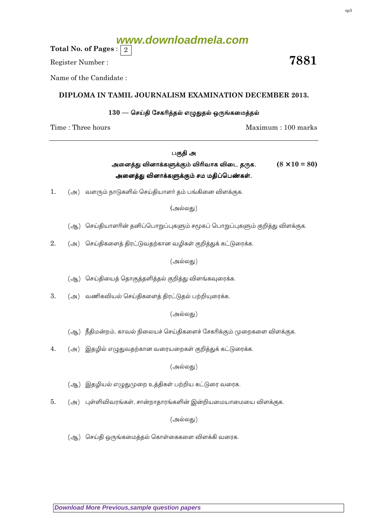(அ) வளரும் நாடுகளில் செய்தியாளர் தம் பங்கினை விளக்குக.

(ஆ) செய்தியாளரின் தனிப்பொறுப்புகளும் சமூகப் பொறுப்புகளும் குறித்து விளக்குக.

(அல்லது)

2. (அ) செய்திகளைத் திரட்டுவதற்கான வழிகள் குறித்துக் கட்டுரைக்க.

(அல்லது)

(ஆ) செய்தியைத் தொகுத்தளித்தல் குறித்து விளங்கவுரைக்க.

 $\overline{3}$ . (அ) வணிகவியல் செய்திகளைத் திரட்டுதல் பற்றியுரைக்க.

(அல்லது)

(ஆ) நீதிமன்றம், காவல் நிலையச் செய்திகளைச் சேகரிக்கும் முறைகளை விளக்குக.

(அ) இதழில் எழுதுவதற்கான வரையறைகள் குறித்துக் கட்டுரைக்க.  $\overline{4}$ .

(அல்லது)

(ஆ) இதழியல் எழுதுமுறை உத்திகள் பற்றிய கட்டுரை வரைக.

(அ) புள்ளிவிவரங்கள், சான்றாதாரங்களின் இன்றியமையாமையை விளக்குக. 5.

(அல்லது)

(ஆ) செய்தி ஒருங்கமைத்தல் கொள்கைகளை விளக்கி வரைக.

### **Download More Previous, sample question papers**

### $130$  — செய்தி சேகரித்தல் எழுதுதல் ஒருங்கமைத்தல்

DIPLOMA IN TAMIL JOURNALISM EXAMINATION DECEMBER 2013.

Time: Three hours

 $1.$ 

Total No. of Pages :  $|2|$ 

Name of the Candidate:

# www.downloadmela.com

# Register Number:

## பகுதி அ  $(8 \times 10 = 80)$ அனைத்து வினாக்களுக்கும் விரிவாக விடை தருக.

# அனைத்து வினாக்களுக்கும் சம மதிப்பெண்கள்.

Maximum: 100 marks

7881